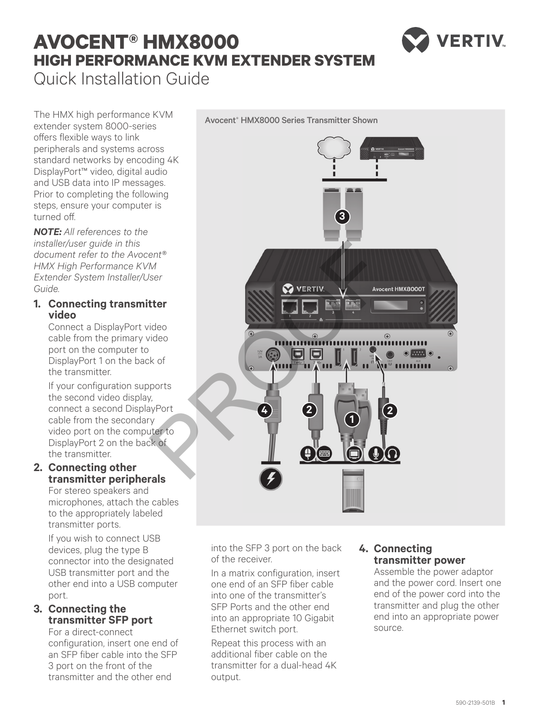# **AVOCENT® HMX8000 HIGH PERFORMANCE KVM EXTENDER SYSTEM** Quick Installation Guide

VERTIV

The HMX high performance KVM extender system 8000-series offers flexible ways to link peripherals and systems across standard networks by encoding 4K DisplayPort™ video, digital audio and USB data into IP messages. Prior to completing the following steps, ensure your computer is turned off.

*NOTE: All references to the installer/user guide in this document refer to the Avocent® HMX High Performance KVM Extender System Installer/User Guide.*

## **1. Connecting transmitter video**

Connect a DisplayPort video cable from the primary video port on the computer to DisplayPort 1 on the back of the transmitter.

If your configuration supports the second video display, connect a second DisplayPort cable from the secondary video port on the computer to DisplayPort 2 on the back of the transmitter.

## **2. Connecting other transmitter peripherals**

For stereo speakers and microphones, attach the cables to the appropriately labeled transmitter ports.

If you wish to connect USB devices, plug the type B connector into the designated USB transmitter port and the other end into a USB computer port.

## **3. Connecting the transmitter SFP port**

For a direct-connect configuration, insert one end of an SFP fiber cable into the SFP 3 port on the front of the transmitter and the other end

Port  $\odot$   $\overline{...}$   $\odot$ .......... **4 2 2 1**

> into the SFP 3 port on the back of the receiver.

In a matrix configuration, insert one end of an SFP fiber cable into one of the transmitter's SFP Ports and the other end into an appropriate 10 Gigabit Ethernet switch port.

Repeat this process with an additional fiber cable on the transmitter for a dual-head 4K output.

# **4. Connecting transmitter power**

Assemble the power adaptor and the power cord. Insert one end of the power cord into the transmitter and plug the other end into an appropriate power source.

**3**

Avocent® HMX8000 Series Transmitter Shown